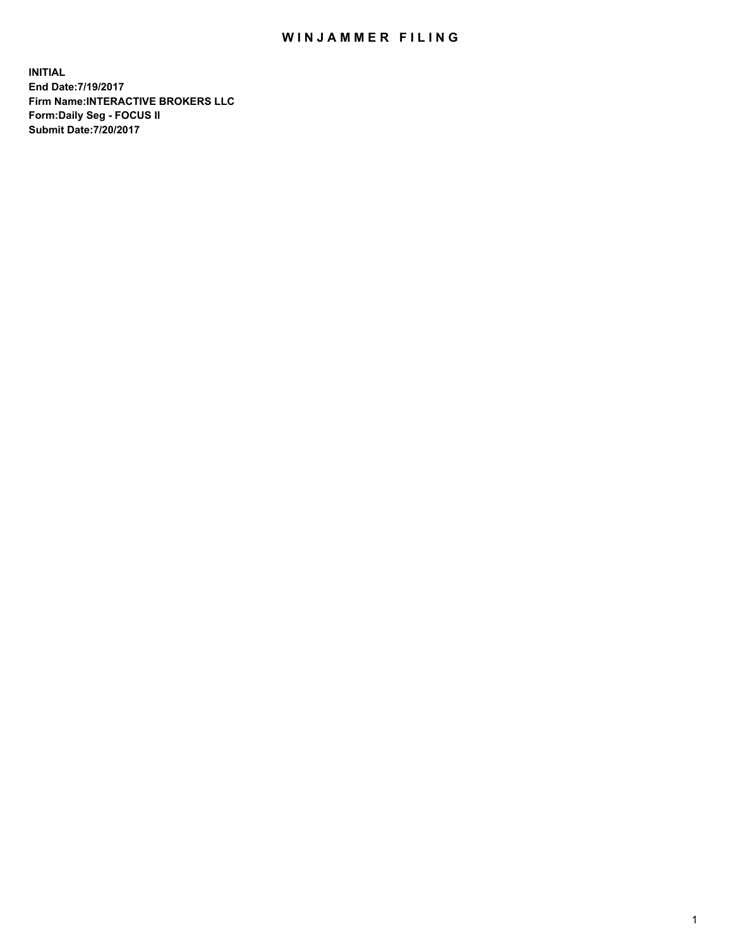## WIN JAMMER FILING

**INITIAL End Date:7/19/2017 Firm Name:INTERACTIVE BROKERS LLC Form:Daily Seg - FOCUS II Submit Date:7/20/2017**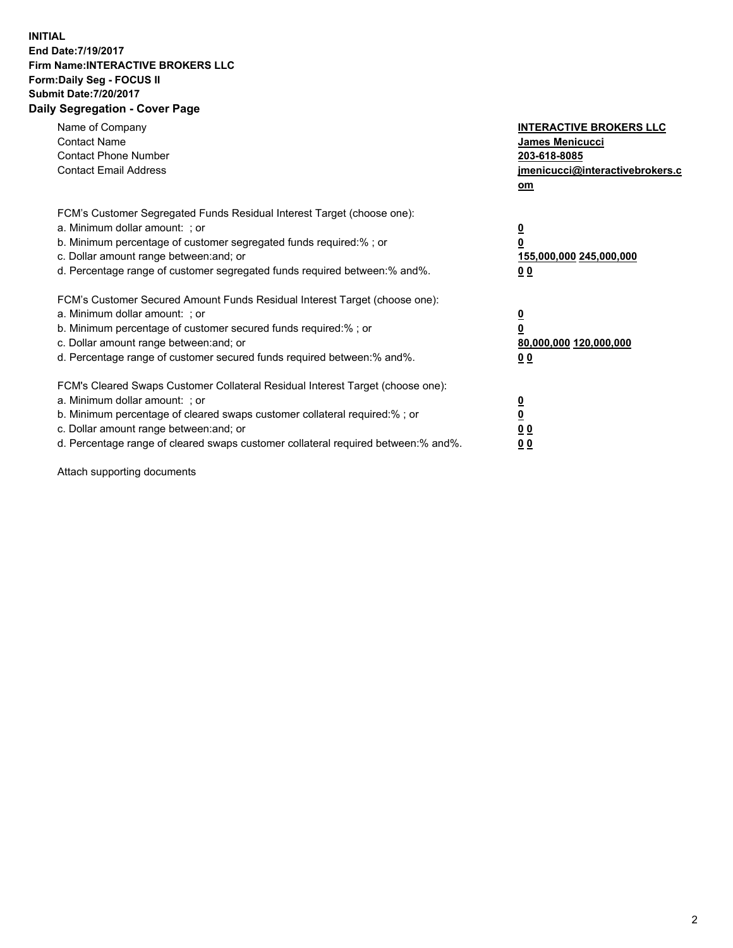## **INITIAL End Date:7/19/2017 Firm Name:INTERACTIVE BROKERS LLC Form:Daily Seg - FOCUS II Submit Date:7/20/2017 Daily Segregation - Cover Page**

| Name of Company<br><b>Contact Name</b><br><b>Contact Phone Number</b><br><b>Contact Email Address</b>                                                                                                                                                                                                                          | <b>INTERACTIVE BROKERS LLC</b><br><b>James Menicucci</b><br>203-618-8085<br>jmenicucci@interactivebrokers.c<br>om |
|--------------------------------------------------------------------------------------------------------------------------------------------------------------------------------------------------------------------------------------------------------------------------------------------------------------------------------|-------------------------------------------------------------------------------------------------------------------|
| FCM's Customer Segregated Funds Residual Interest Target (choose one):<br>a. Minimum dollar amount: ; or<br>b. Minimum percentage of customer segregated funds required:%; or<br>c. Dollar amount range between: and; or<br>d. Percentage range of customer segregated funds required between:% and%.                          | $\overline{\mathbf{0}}$<br>0<br>155,000,000 245,000,000<br>0 <sub>0</sub>                                         |
| FCM's Customer Secured Amount Funds Residual Interest Target (choose one):<br>a. Minimum dollar amount: ; or<br>b. Minimum percentage of customer secured funds required:%; or<br>c. Dollar amount range between: and; or<br>d. Percentage range of customer secured funds required between: % and %.                          | $\overline{\mathbf{0}}$<br>0<br>80,000,000 120,000,000<br>00                                                      |
| FCM's Cleared Swaps Customer Collateral Residual Interest Target (choose one):<br>a. Minimum dollar amount: ; or<br>b. Minimum percentage of cleared swaps customer collateral required:% ; or<br>c. Dollar amount range between: and; or<br>d. Percentage range of cleared swaps customer collateral required between:% and%. | $\overline{\mathbf{0}}$<br>$\overline{\mathbf{0}}$<br>0 <sub>0</sub><br><u>00</u>                                 |

Attach supporting documents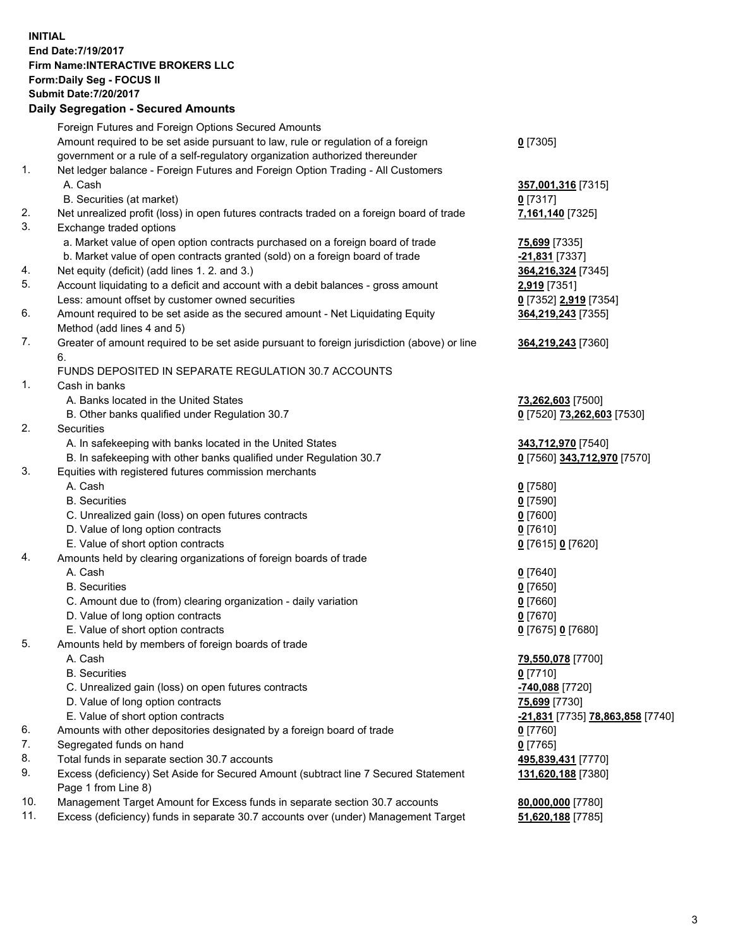## **INITIAL End Date:7/19/2017 Firm Name:INTERACTIVE BROKERS LLC Form:Daily Seg - FOCUS II**

|     | <b>Submit Date: 7/20/2017</b>                                                               |                                         |
|-----|---------------------------------------------------------------------------------------------|-----------------------------------------|
|     | <b>Daily Segregation - Secured Amounts</b>                                                  |                                         |
|     | Foreign Futures and Foreign Options Secured Amounts                                         |                                         |
|     | Amount required to be set aside pursuant to law, rule or regulation of a foreign            | $0$ [7305]                              |
|     | government or a rule of a self-regulatory organization authorized thereunder                |                                         |
| 1.  | Net ledger balance - Foreign Futures and Foreign Option Trading - All Customers             |                                         |
|     | A. Cash                                                                                     | 357,001,316 [7315]                      |
|     | B. Securities (at market)                                                                   | $0$ [7317]                              |
| 2.  | Net unrealized profit (loss) in open futures contracts traded on a foreign board of trade   | 7,161,140 [7325]                        |
| 3.  | Exchange traded options                                                                     |                                         |
|     | a. Market value of open option contracts purchased on a foreign board of trade              | 75,699 [7335]                           |
|     | b. Market value of open contracts granted (sold) on a foreign board of trade                | -21,831 [7337]                          |
| 4.  | Net equity (deficit) (add lines 1.2. and 3.)                                                | 364,216,324 [7345]                      |
| 5.  | Account liquidating to a deficit and account with a debit balances - gross amount           | 2,919 [7351]                            |
|     | Less: amount offset by customer owned securities                                            | 0 [7352] 2,919 [7354]                   |
| 6.  | Amount required to be set aside as the secured amount - Net Liquidating Equity              | 364,219,243 [7355]                      |
|     | Method (add lines 4 and 5)                                                                  |                                         |
| 7.  | Greater of amount required to be set aside pursuant to foreign jurisdiction (above) or line | 364,219,243 [7360]                      |
|     | 6.                                                                                          |                                         |
|     | FUNDS DEPOSITED IN SEPARATE REGULATION 30.7 ACCOUNTS                                        |                                         |
| 1.  | Cash in banks                                                                               |                                         |
|     | A. Banks located in the United States                                                       | 73,262,603 [7500]                       |
|     | B. Other banks qualified under Regulation 30.7                                              | 0 [7520] 73,262,603 [7530]              |
| 2.  | Securities                                                                                  |                                         |
|     | A. In safekeeping with banks located in the United States                                   | 343,712,970 [7540]                      |
| 3.  | B. In safekeeping with other banks qualified under Regulation 30.7                          | 0 [7560] 343,712,970 [7570]             |
|     | Equities with registered futures commission merchants<br>A. Cash                            |                                         |
|     | <b>B.</b> Securities                                                                        | $0$ [7580]                              |
|     | C. Unrealized gain (loss) on open futures contracts                                         | $0$ [7590]<br>$0$ [7600]                |
|     | D. Value of long option contracts                                                           | 0 [7610]                                |
|     | E. Value of short option contracts                                                          | 0 [7615] 0 [7620]                       |
| 4.  | Amounts held by clearing organizations of foreign boards of trade                           |                                         |
|     | A. Cash                                                                                     | $0$ [7640]                              |
|     | <b>B.</b> Securities                                                                        | $0$ [7650]                              |
|     | C. Amount due to (from) clearing organization - daily variation                             | $0$ [7660]                              |
|     | D. Value of long option contracts                                                           | $0$ [7670]                              |
|     | E. Value of short option contracts                                                          | 0 [7675] 0 [7680]                       |
| 5.  | Amounts held by members of foreign boards of trade                                          |                                         |
|     | A. Cash                                                                                     | 79,550,078 [7700]                       |
|     | <b>B.</b> Securities                                                                        | 0 [7710]                                |
|     | C. Unrealized gain (loss) on open futures contracts                                         | -740,088 [7720]                         |
|     | D. Value of long option contracts                                                           | 75,699 [7730]                           |
|     | E. Value of short option contracts                                                          | <u>-21,831</u> [7735] 78,863,858 [7740] |
| 6.  | Amounts with other depositories designated by a foreign board of trade                      | 0 [7760]                                |
| 7.  | Segregated funds on hand                                                                    | $0$ [7765]                              |
| 8.  | Total funds in separate section 30.7 accounts                                               | 495,839,431 [7770]                      |
| 9.  | Excess (deficiency) Set Aside for Secured Amount (subtract line 7 Secured Statement         | 131,620,188 [7380]                      |
|     | Page 1 from Line 8)                                                                         |                                         |
| 10. | Management Target Amount for Excess funds in separate section 30.7 accounts                 | 80,000,000 [7780]                       |
| 11. | Excess (deficiency) funds in separate 30.7 accounts over (under) Management Target          | 51,620,188 [7785]                       |
|     |                                                                                             |                                         |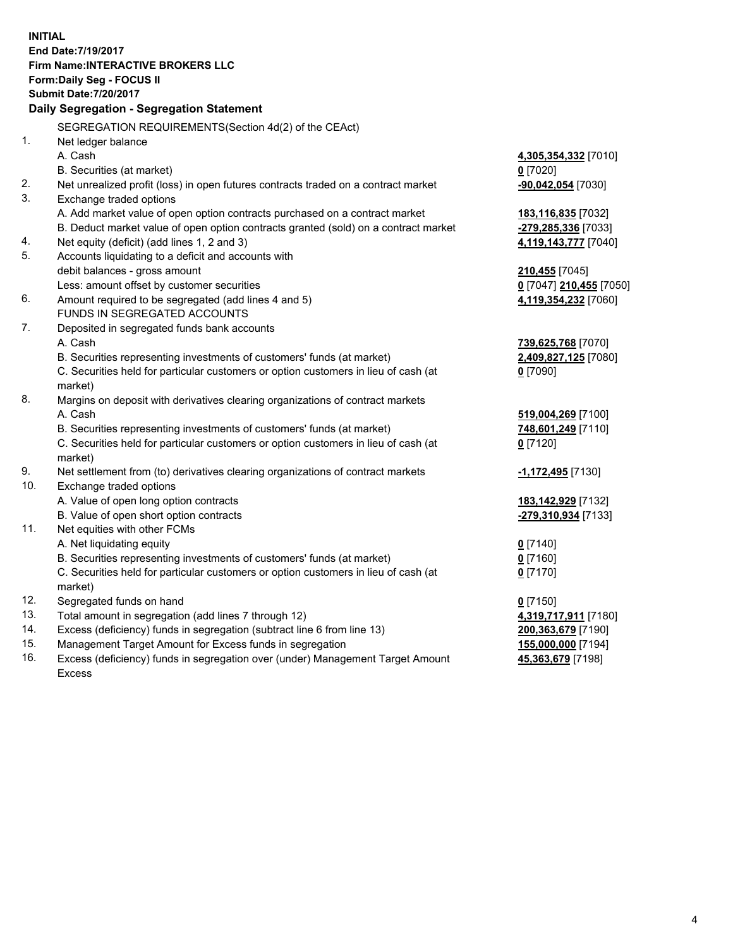**INITIAL End Date:7/19/2017 Firm Name:INTERACTIVE BROKERS LLC Form:Daily Seg - FOCUS II Submit Date:7/20/2017 Daily Segregation - Segregation Statement** SEGREGATION REQUIREMENTS(Section 4d(2) of the CEAct) 1. Net ledger balance A. Cash **4,305,354,332** [7010] B. Securities (at market) **0** [7020] 2. Net unrealized profit (loss) in open futures contracts traded on a contract market **-90,042,054** [7030] 3. Exchange traded options A. Add market value of open option contracts purchased on a contract market **183,116,835** [7032] B. Deduct market value of open option contracts granted (sold) on a contract market **-279,285,336** [7033] 4. Net equity (deficit) (add lines 1, 2 and 3) **4,119,143,777** [7040] 5. Accounts liquidating to a deficit and accounts with debit balances - gross amount **210,455** [7045] Less: amount offset by customer securities **0** [7047] **210,455** [7050] 6. Amount required to be segregated (add lines 4 and 5) **4,119,354,232** [7060] FUNDS IN SEGREGATED ACCOUNTS 7. Deposited in segregated funds bank accounts A. Cash **739,625,768** [7070] B. Securities representing investments of customers' funds (at market) **2,409,827,125** [7080] C. Securities held for particular customers or option customers in lieu of cash (at market) **0** [7090] 8. Margins on deposit with derivatives clearing organizations of contract markets A. Cash **519,004,269** [7100] B. Securities representing investments of customers' funds (at market) **748,601,249** [7110] C. Securities held for particular customers or option customers in lieu of cash (at market) **0** [7120] 9. Net settlement from (to) derivatives clearing organizations of contract markets **-1,172,495** [7130] 10. Exchange traded options A. Value of open long option contracts **183,142,929** [7132] B. Value of open short option contracts **-279,310,934** [7133] 11. Net equities with other FCMs A. Net liquidating equity **0** [7140] B. Securities representing investments of customers' funds (at market) **0** [7160] C. Securities held for particular customers or option customers in lieu of cash (at market) **0** [7170] 12. Segregated funds on hand **0** [7150] 13. Total amount in segregation (add lines 7 through 12) **4,319,717,911** [7180] 14. Excess (deficiency) funds in segregation (subtract line 6 from line 13) **200,363,679** [7190] 15. Management Target Amount for Excess funds in segregation **155,000,000** [7194]

16. Excess (deficiency) funds in segregation over (under) Management Target Amount Excess

**45,363,679** [7198]